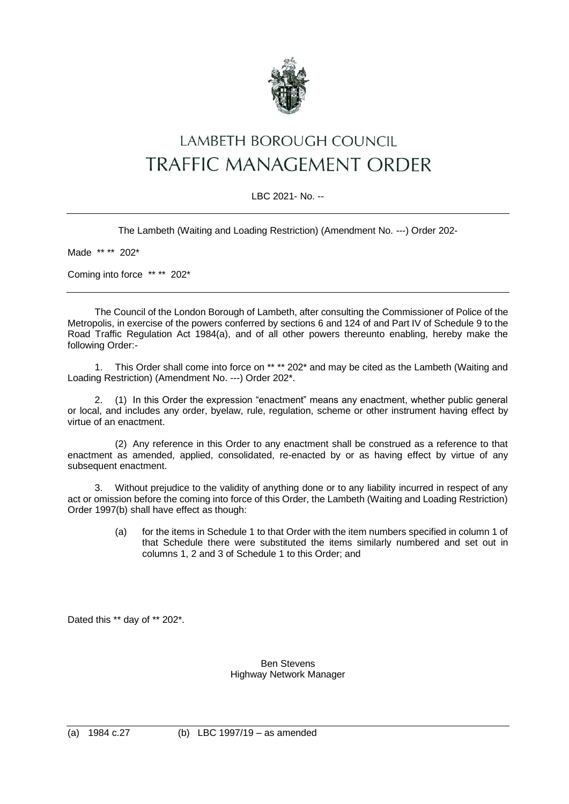

# LAMBETH BOROUGH COUNCIL **TRAFFIC MANAGEMENT ORDER**

## LBC 2021- No. --

The Lambeth (Waiting and Loading Restriction) (Amendment No. ---) Order 202-

Made \*\* \*\* 202\*

Coming into force \*\* \*\* 202\*

The Council of the London Borough of Lambeth, after consulting the Commissioner of Police of the Metropolis, in exercise of the powers conferred by sections 6 and 124 of and Part IV of Schedule 9 to the Road Traffic Regulation Act 1984(a), and of all other powers thereunto enabling, hereby make the following Order:-

1. This Order shall come into force on \*\* \*\* 202\* and may be cited as the Lambeth (Waiting and Loading Restriction) (Amendment No. ---) Order 202\*.

2. (1) In this Order the expression "enactment" means any enactment, whether public general or local, and includes any order, byelaw, rule, regulation, scheme or other instrument having effect by virtue of an enactment.

(2) Any reference in this Order to any enactment shall be construed as a reference to that enactment as amended, applied, consolidated, re-enacted by or as having effect by virtue of any subsequent enactment.

3. Without prejudice to the validity of anything done or to any liability incurred in respect of any act or omission before the coming into force of this Order, the Lambeth (Waiting and Loading Restriction) Order 1997(b) shall have effect as though:

> (a) for the items in Schedule 1 to that Order with the item numbers specified in column 1 of that Schedule there were substituted the items similarly numbered and set out in columns 1, 2 and 3 of Schedule 1 to this Order; and

Dated this \*\* day of \*\* 202\*.

#### Ben Stevens Highway Network Manager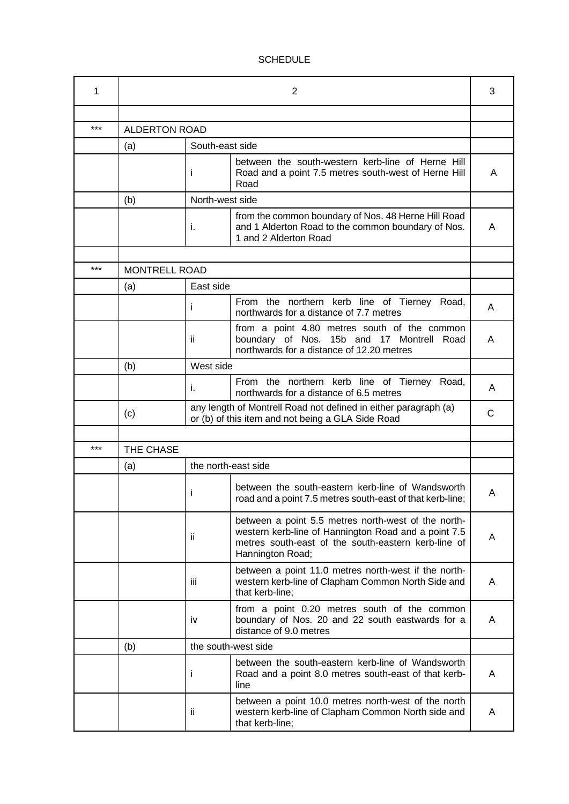# **SCHEDULE**

| 1   | 2                    |                      |                                                                                                                                                                                        |   |  |  |
|-----|----------------------|----------------------|----------------------------------------------------------------------------------------------------------------------------------------------------------------------------------------|---|--|--|
|     |                      |                      |                                                                                                                                                                                        |   |  |  |
| *** | <b>ALDERTON ROAD</b> |                      |                                                                                                                                                                                        |   |  |  |
|     | (a)                  | South-east side      |                                                                                                                                                                                        |   |  |  |
|     |                      | Ť                    | between the south-western kerb-line of Herne Hill<br>Road and a point 7.5 metres south-west of Herne Hill<br>Road                                                                      | A |  |  |
|     | (b)                  |                      | North-west side                                                                                                                                                                        |   |  |  |
|     |                      | i.                   | from the common boundary of Nos. 48 Herne Hill Road<br>and 1 Alderton Road to the common boundary of Nos.<br>1 and 2 Alderton Road                                                     | A |  |  |
|     |                      |                      |                                                                                                                                                                                        |   |  |  |
| *** |                      | <b>MONTRELL ROAD</b> |                                                                                                                                                                                        |   |  |  |
|     | (a)                  |                      | East side                                                                                                                                                                              |   |  |  |
|     |                      | Ť                    | From the northern kerb line of Tierney Road,<br>northwards for a distance of 7.7 metres                                                                                                | A |  |  |
|     |                      | ïi                   | from a point 4.80 metres south of the common<br>boundary of Nos. 15b and 17 Montrell Road<br>northwards for a distance of 12.20 metres                                                 | A |  |  |
|     | (b)                  |                      | West side                                                                                                                                                                              |   |  |  |
|     |                      | İ.                   | From the northern kerb line of Tierney Road,<br>northwards for a distance of 6.5 metres                                                                                                | A |  |  |
|     | (c)                  |                      | any length of Montrell Road not defined in either paragraph (a)<br>or (b) of this item and not being a GLA Side Road                                                                   | C |  |  |
|     |                      |                      |                                                                                                                                                                                        |   |  |  |
| *** | THE CHASE            |                      |                                                                                                                                                                                        |   |  |  |
|     | (a)                  | the north-east side  |                                                                                                                                                                                        |   |  |  |
|     |                      | Ť                    | between the south-eastern kerb-line of Wandsworth<br>road and a point 7.5 metres south-east of that kerb-line;                                                                         | Α |  |  |
|     |                      | ïi                   | between a point 5.5 metres north-west of the north-<br>western kerb-line of Hannington Road and a point 7.5<br>metres south-east of the south-eastern kerb-line of<br>Hannington Road; | A |  |  |
|     |                      | Ϊİ                   | between a point 11.0 metres north-west if the north-<br>western kerb-line of Clapham Common North Side and<br>that kerb-line;                                                          | A |  |  |
|     |                      | iv                   | from a point 0.20 metres south of the common<br>boundary of Nos. 20 and 22 south eastwards for a<br>distance of 9.0 metres                                                             | A |  |  |
|     | (b)                  |                      | the south-west side                                                                                                                                                                    |   |  |  |
|     |                      | Ť                    | between the south-eastern kerb-line of Wandsworth<br>Road and a point 8.0 metres south-east of that kerb-<br>line                                                                      | A |  |  |
|     |                      | ii.                  | between a point 10.0 metres north-west of the north<br>western kerb-line of Clapham Common North side and<br>that kerb-line;                                                           | A |  |  |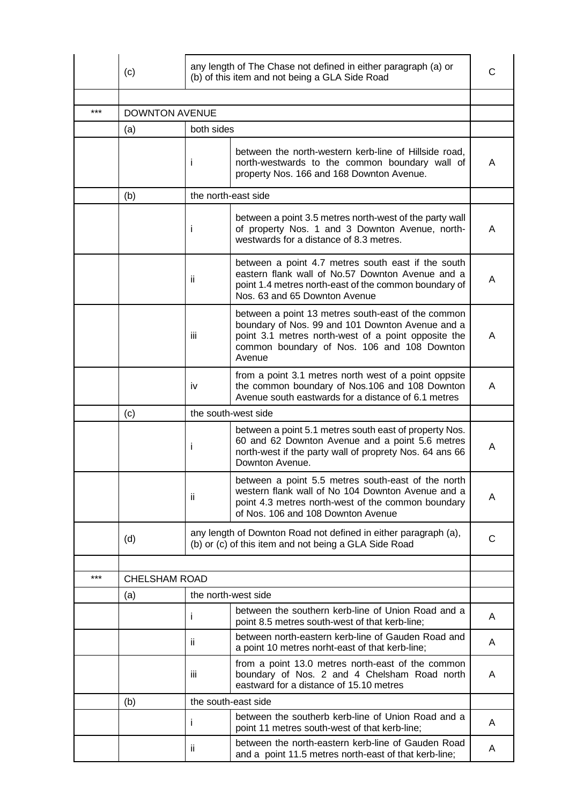|     | (c)                   |     | any length of The Chase not defined in either paragraph (a) or<br>(b) of this item and not being a GLA Side Road                                                                                                       | C |  |  |
|-----|-----------------------|-----|------------------------------------------------------------------------------------------------------------------------------------------------------------------------------------------------------------------------|---|--|--|
|     |                       |     |                                                                                                                                                                                                                        |   |  |  |
| *** | <b>DOWNTON AVENUE</b> |     |                                                                                                                                                                                                                        |   |  |  |
|     | (a)                   |     | both sides                                                                                                                                                                                                             |   |  |  |
|     |                       | Ť   | between the north-western kerb-line of Hillside road,<br>north-westwards to the common boundary wall of<br>property Nos. 166 and 168 Downton Avenue.                                                                   | A |  |  |
|     | (b)                   |     | the north-east side                                                                                                                                                                                                    |   |  |  |
|     |                       | ı   | between a point 3.5 metres north-west of the party wall<br>of property Nos. 1 and 3 Downton Avenue, north-<br>westwards for a distance of 8.3 metres.                                                                  | A |  |  |
|     |                       | ii. | between a point 4.7 metres south east if the south<br>eastern flank wall of No.57 Downton Avenue and a<br>point 1.4 metres north-east of the common boundary of<br>Nos. 63 and 65 Downton Avenue                       | A |  |  |
|     |                       | iii | between a point 13 metres south-east of the common<br>boundary of Nos. 99 and 101 Downton Avenue and a<br>point 3.1 metres north-west of a point opposite the<br>common boundary of Nos. 106 and 108 Downton<br>Avenue | A |  |  |
|     |                       | iv  | from a point 3.1 metres north west of a point oppsite<br>the common boundary of Nos.106 and 108 Downton<br>Avenue south eastwards for a distance of 6.1 metres                                                         | A |  |  |
|     | (c)                   |     | the south-west side                                                                                                                                                                                                    |   |  |  |
|     |                       | ı   | between a point 5.1 metres south east of property Nos.<br>60 and 62 Downton Avenue and a point 5.6 metres<br>north-west if the party wall of proprety Nos. 64 ans 66<br>Downton Avenue.                                | A |  |  |
|     |                       | ïi  | between a point 5.5 metres south-east of the north<br>western flank wall of No 104 Downton Avenue and a<br>point 4.3 metres north-west of the common boundary<br>of Nos. 106 and 108 Downton Avenue                    | A |  |  |
|     | (d)                   |     | any length of Downton Road not defined in either paragraph (a),<br>(b) or (c) of this item and not being a GLA Side Road                                                                                               |   |  |  |
|     |                       |     |                                                                                                                                                                                                                        |   |  |  |
| *** | <b>CHELSHAM ROAD</b>  |     |                                                                                                                                                                                                                        |   |  |  |
|     | (a)                   |     | the north-west side                                                                                                                                                                                                    |   |  |  |
|     |                       | Ť   | between the southern kerb-line of Union Road and a<br>point 8.5 metres south-west of that kerb-line;                                                                                                                   | A |  |  |
|     |                       | ii. | between north-eastern kerb-line of Gauden Road and<br>a point 10 metres norht-east of that kerb-line;                                                                                                                  | A |  |  |
|     |                       | iii | from a point 13.0 metres north-east of the common<br>boundary of Nos. 2 and 4 Chelsham Road north<br>eastward for a distance of 15.10 metres                                                                           | A |  |  |
|     | (b)                   |     | the south-east side                                                                                                                                                                                                    |   |  |  |
|     |                       | ı   | between the southerb kerb-line of Union Road and a<br>point 11 metres south-west of that kerb-line;                                                                                                                    | A |  |  |
|     |                       | ii. | between the north-eastern kerb-line of Gauden Road<br>and a point 11.5 metres north-east of that kerb-line;                                                                                                            | A |  |  |